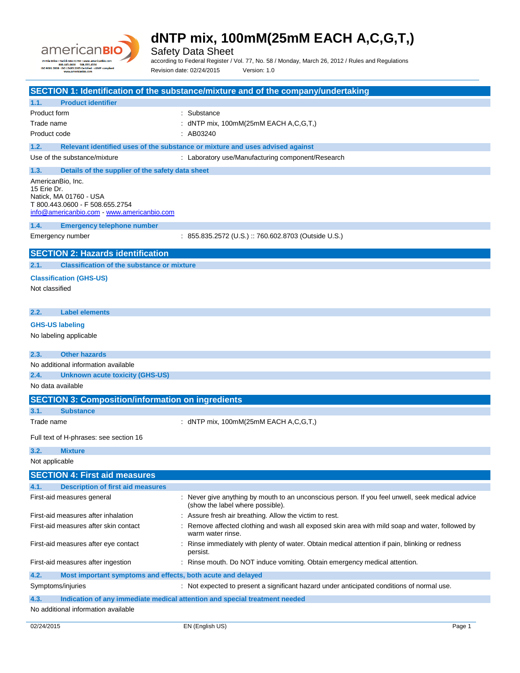

Safety Data Sheet

according to Federal Register / Vol. 77, No. 58 / Monday, March 26, 2012 / Rules and Regulations Revision date: 02/24/2015 Version: 1.0

**SECTION 1: Identification of the substance/mixture and of the company/undertaking 1.1. Product identifier** Product form **: Substance** Trade name : dNTP mix, 100mM(25mM EACH A,C,G,T,) Product code : AB03240 **1.2. Relevant identified uses of the substance or mixture and uses advised against** Use of the substance/mixture : Laboratory use/Manufacturing component/Research **1.3. Details of the supplier of the safety data sheet** AmericanBio, Inc. 15 Erie Dr. Natick, MA 01760 - USA T 800.443.0600 - F 508.655.2754 [info@americanbio.com](mailto:info@americanbio.com) - <www.americanbio.com> **1.4. Emergency telephone number** Emergency number : 855.835.2572 (U.S.) :: 760.602.8703 (Outside U.S.) **SECTION 2: Hazards identification 2.1. Classification of the substance or mixture Classification (GHS-US)** Not classified **2.2. Label elements GHS-US labeling** No labeling applicable **2.3. Other hazards** No additional information available **2.4. Unknown acute toxicity (GHS-US)** No data available **SECTION 3: Composition/information on ingredients 3.1. Substance** Trade name : dNTP mix, 100mM(25mM EACH A,C,G,T,) Full text of H-phrases: see section 16 **3.2. Mixture** Not applicable **SECTION 4: First aid measures 4.1. Description of first aid measures** First-aid measures general example of the state of the ver give anything by mouth to an unconscious person. If you feel unwell, seek medical advice (show the label where possible). First-aid measures after inhalation : Assure fresh air breathing. Allow the victim to rest. First-aid measures after skin contact : Remove affected clothing and wash all exposed skin area with mild soap and water, followed by warm water rinse. First-aid measures after eye contact : Rinse immediately with plenty of water. Obtain medical attention if pain, blinking or redness persist. First-aid measures after ingestion : Rinse mouth. Do NOT induce vomiting. Obtain emergency medical attention. **4.2. Most important symptoms and effects, both acute and delayed** Symptoms/injuries **interval of the symptoms**/injuries in the symptoms/injuries in the symptoms/injuries of normal use. **4.3. Indication of any immediate medical attention and special treatment needed**

No additional information available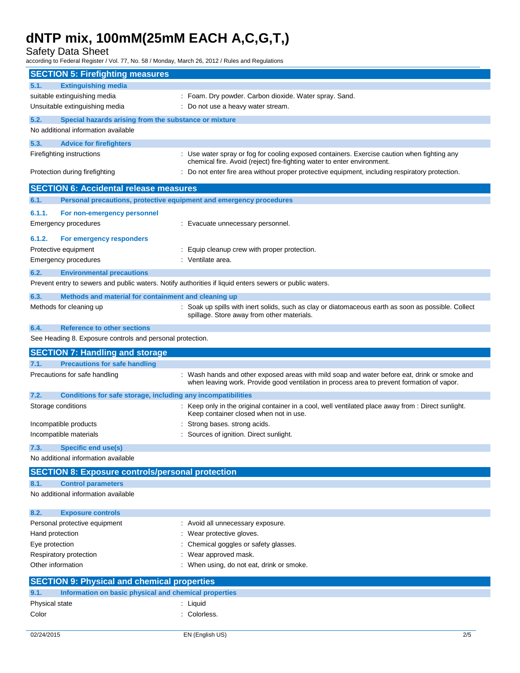Safety Data Sheet

according to Federal Register / Vol. 77, No. 58 / Monday, March 26, 2012 / Rules and Regulations

| <b>SECTION 5: Firefighting measures</b>                       |                                                                                                                                                                                            |  |  |  |
|---------------------------------------------------------------|--------------------------------------------------------------------------------------------------------------------------------------------------------------------------------------------|--|--|--|
| <b>Extinguishing media</b><br>5.1.                            |                                                                                                                                                                                            |  |  |  |
| suitable extinguishing media                                  | : Foam. Dry powder. Carbon dioxide. Water spray. Sand.                                                                                                                                     |  |  |  |
| Unsuitable extinguishing media                                | Do not use a heavy water stream.                                                                                                                                                           |  |  |  |
| 5.2.<br>Special hazards arising from the substance or mixture |                                                                                                                                                                                            |  |  |  |
| No additional information available                           |                                                                                                                                                                                            |  |  |  |
| 5.3.<br><b>Advice for firefighters</b>                        |                                                                                                                                                                                            |  |  |  |
| Firefighting instructions                                     | : Use water spray or fog for cooling exposed containers. Exercise caution when fighting any                                                                                                |  |  |  |
| Protection during firefighting                                | chemical fire. Avoid (reject) fire-fighting water to enter environment.<br>Do not enter fire area without proper protective equipment, including respiratory protection.                   |  |  |  |
| <b>SECTION 6: Accidental release measures</b>                 |                                                                                                                                                                                            |  |  |  |
| 6.1.                                                          | Personal precautions, protective equipment and emergency procedures                                                                                                                        |  |  |  |
| 6.1.1.<br>For non-emergency personnel                         |                                                                                                                                                                                            |  |  |  |
| Emergency procedures                                          | : Evacuate unnecessary personnel.                                                                                                                                                          |  |  |  |
| 6.1.2.<br>For emergency responders                            |                                                                                                                                                                                            |  |  |  |
| Protective equipment                                          | : Equip cleanup crew with proper protection.                                                                                                                                               |  |  |  |
| Emergency procedures                                          | : Ventilate area.                                                                                                                                                                          |  |  |  |
| 6.2.<br><b>Environmental precautions</b>                      |                                                                                                                                                                                            |  |  |  |
|                                                               | Prevent entry to sewers and public waters. Notify authorities if liquid enters sewers or public waters.                                                                                    |  |  |  |
| 6.3.<br>Methods and material for containment and cleaning up  |                                                                                                                                                                                            |  |  |  |
| Methods for cleaning up                                       | : Soak up spills with inert solids, such as clay or diatomaceous earth as soon as possible. Collect                                                                                        |  |  |  |
|                                                               | spillage. Store away from other materials.                                                                                                                                                 |  |  |  |
| <b>Reference to other sections</b><br>6.4.                    |                                                                                                                                                                                            |  |  |  |
| See Heading 8. Exposure controls and personal protection.     |                                                                                                                                                                                            |  |  |  |
|                                                               |                                                                                                                                                                                            |  |  |  |
| <b>SECTION 7: Handling and storage</b>                        |                                                                                                                                                                                            |  |  |  |
| 7.1.<br><b>Precautions for safe handling</b>                  |                                                                                                                                                                                            |  |  |  |
| Precautions for safe handling                                 | : Wash hands and other exposed areas with mild soap and water before eat, drink or smoke and<br>when leaving work. Provide good ventilation in process area to prevent formation of vapor. |  |  |  |
| 7.2.                                                          | Conditions for safe storage, including any incompatibilities                                                                                                                               |  |  |  |
| Storage conditions                                            | : Keep only in the original container in a cool, well ventilated place away from : Direct sunlight.<br>Keep container closed when not in use.                                              |  |  |  |
| Incompatible products                                         | Strong bases. strong acids.                                                                                                                                                                |  |  |  |
| Incompatible materials                                        | Sources of ignition. Direct sunlight.                                                                                                                                                      |  |  |  |
| <b>Specific end use(s)</b><br>7.3.                            |                                                                                                                                                                                            |  |  |  |
| No additional information available                           |                                                                                                                                                                                            |  |  |  |
| <b>SECTION 8: Exposure controls/personal protection</b>       |                                                                                                                                                                                            |  |  |  |
| 8.1.<br><b>Control parameters</b>                             |                                                                                                                                                                                            |  |  |  |
| No additional information available                           |                                                                                                                                                                                            |  |  |  |
| 8.2.<br><b>Exposure controls</b>                              |                                                                                                                                                                                            |  |  |  |
| Personal protective equipment                                 | : Avoid all unnecessary exposure.                                                                                                                                                          |  |  |  |
| Hand protection                                               | Wear protective gloves.                                                                                                                                                                    |  |  |  |
| Eye protection                                                | Chemical goggles or safety glasses.                                                                                                                                                        |  |  |  |
| Respiratory protection                                        | Wear approved mask.                                                                                                                                                                        |  |  |  |
| Other information                                             | When using, do not eat, drink or smoke.                                                                                                                                                    |  |  |  |
| <b>SECTION 9: Physical and chemical properties</b>            |                                                                                                                                                                                            |  |  |  |
| 9.1.<br>Information on basic physical and chemical properties |                                                                                                                                                                                            |  |  |  |
| Physical state<br>Color                                       | : Liquid<br>: Colorless.                                                                                                                                                                   |  |  |  |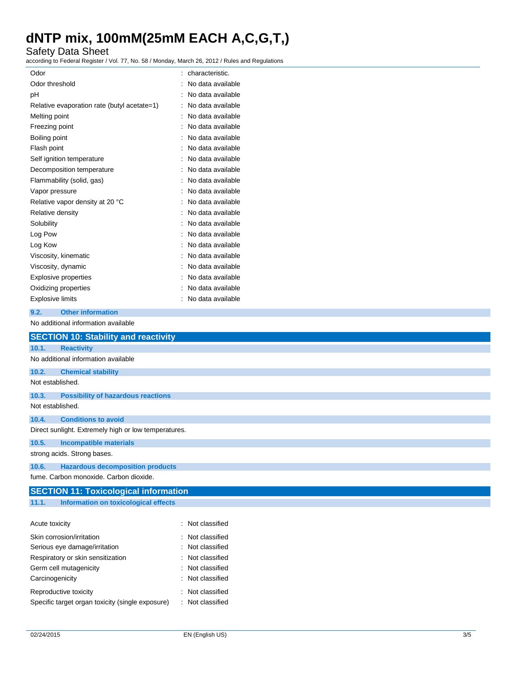Safety Data Sheet

according to Federal Register / Vol. 77, No. 58 / Monday, March 26, 2012 / Rules and Regulations

| Odor                                        | characteristic.     |
|---------------------------------------------|---------------------|
| Odor threshold                              | No data available   |
| рH                                          | No data available   |
| Relative evaporation rate (butyl acetate=1) | : No data available |
| Melting point                               | No data available   |
| Freezing point                              | No data available   |
| Boiling point                               | : No data available |
| Flash point                                 | No data available   |
| Self ignition temperature                   | No data available   |
| Decomposition temperature                   | No data available   |
| Flammability (solid, gas)                   | No data available   |
| Vapor pressure                              | No data available   |
| Relative vapor density at 20 °C             | No data available   |
| Relative density                            | No data available   |
| Solubility                                  | : No data available |
| Log Pow                                     | No data available   |
| Log Kow                                     | No data available   |
| Viscosity, kinematic                        | No data available   |
| Viscosity, dynamic                          | No data available   |
| Explosive properties                        | No data available   |
| Oxidizing properties                        | No data available   |
| <b>Explosive limits</b>                     | No data available   |
|                                             |                     |

### **9.2. Other information**

No additional information available

|                                   | <b>SECTION 10: Stability and reactivity</b>          |                  |  |  |  |  |
|-----------------------------------|------------------------------------------------------|------------------|--|--|--|--|
| 10.1.                             | <b>Reactivity</b>                                    |                  |  |  |  |  |
|                                   | No additional information available                  |                  |  |  |  |  |
| 10.2.                             | <b>Chemical stability</b>                            |                  |  |  |  |  |
|                                   | Not established.                                     |                  |  |  |  |  |
| 10.3.                             | <b>Possibility of hazardous reactions</b>            |                  |  |  |  |  |
|                                   | Not established.                                     |                  |  |  |  |  |
| 10.4.                             | <b>Conditions to avoid</b>                           |                  |  |  |  |  |
|                                   | Direct sunlight. Extremely high or low temperatures. |                  |  |  |  |  |
| 10.5.                             | <b>Incompatible materials</b>                        |                  |  |  |  |  |
|                                   | strong acids. Strong bases.                          |                  |  |  |  |  |
| 10.6.                             | <b>Hazardous decomposition products</b>              |                  |  |  |  |  |
|                                   | fume. Carbon monoxide. Carbon dioxide.               |                  |  |  |  |  |
|                                   | <b>SECTION 11: Toxicological information</b>         |                  |  |  |  |  |
| 11.1.                             | Information on toxicological effects                 |                  |  |  |  |  |
|                                   |                                                      |                  |  |  |  |  |
| Acute toxicity                    |                                                      | : Not classified |  |  |  |  |
|                                   | Skin corrosion/irritation                            | : Not classified |  |  |  |  |
|                                   | Serious eye damage/irritation                        | : Not classified |  |  |  |  |
| Respiratory or skin sensitization |                                                      | Not classified   |  |  |  |  |
|                                   | Not classified<br>Germ cell mutagenicity             |                  |  |  |  |  |
|                                   |                                                      |                  |  |  |  |  |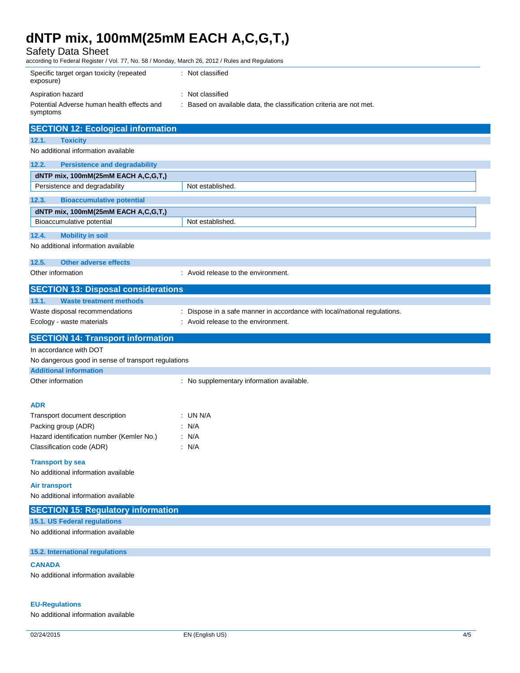Safety Data Sheet

| Salety Data Sheet<br>according to Federal Register / Vol. 77, No. 58 / Monday, March 26, 2012 / Rules and Regulations |                                                                         |  |  |  |  |
|-----------------------------------------------------------------------------------------------------------------------|-------------------------------------------------------------------------|--|--|--|--|
| Specific target organ toxicity (repeated<br>exposure)                                                                 | : Not classified                                                        |  |  |  |  |
| Aspiration hazard                                                                                                     | : Not classified                                                        |  |  |  |  |
| Potential Adverse human health effects and<br>symptoms                                                                | : Based on available data, the classification criteria are not met.     |  |  |  |  |
| <b>SECTION 12: Ecological information</b>                                                                             |                                                                         |  |  |  |  |
| 12.1.<br><b>Toxicity</b>                                                                                              |                                                                         |  |  |  |  |
| No additional information available                                                                                   |                                                                         |  |  |  |  |
| 12.2.<br><b>Persistence and degradability</b>                                                                         |                                                                         |  |  |  |  |
| dNTP mix, 100mM(25mM EACH A,C,G,T,)                                                                                   |                                                                         |  |  |  |  |
| Persistence and degradability                                                                                         | Not established.                                                        |  |  |  |  |
| 12.3.<br><b>Bioaccumulative potential</b>                                                                             |                                                                         |  |  |  |  |
| dNTP mix, 100mM(25mM EACH A,C,G,T,)                                                                                   |                                                                         |  |  |  |  |
| Bioaccumulative potential                                                                                             | Not established                                                         |  |  |  |  |
| <b>Mobility in soil</b><br>12.4.                                                                                      |                                                                         |  |  |  |  |
| No additional information available                                                                                   |                                                                         |  |  |  |  |
| 12.5.<br><b>Other adverse effects</b>                                                                                 |                                                                         |  |  |  |  |
| Other information                                                                                                     | : Avoid release to the environment.                                     |  |  |  |  |
| <b>SECTION 13: Disposal considerations</b>                                                                            |                                                                         |  |  |  |  |
| 13.1.<br><b>Waste treatment methods</b>                                                                               |                                                                         |  |  |  |  |
| Waste disposal recommendations                                                                                        | Dispose in a safe manner in accordance with local/national regulations. |  |  |  |  |
|                                                                                                                       |                                                                         |  |  |  |  |
| Ecology - waste materials                                                                                             | : Avoid release to the environment.                                     |  |  |  |  |
| <b>SECTION 14: Transport information</b>                                                                              |                                                                         |  |  |  |  |
| In accordance with DOT                                                                                                |                                                                         |  |  |  |  |
| No dangerous good in sense of transport regulations                                                                   |                                                                         |  |  |  |  |
| <b>Additional information</b>                                                                                         |                                                                         |  |  |  |  |
| Other information                                                                                                     | : No supplementary information available.                               |  |  |  |  |
|                                                                                                                       |                                                                         |  |  |  |  |
| ADR                                                                                                                   |                                                                         |  |  |  |  |
| Transport document description                                                                                        | ∶UN N/A                                                                 |  |  |  |  |
| Packing group (ADR)                                                                                                   | : N/A                                                                   |  |  |  |  |
| Hazard identification number (Kemler No.)<br>Classification code (ADR)                                                | $\therefore$ N/A<br>: N/A                                               |  |  |  |  |
|                                                                                                                       |                                                                         |  |  |  |  |
| <b>Transport by sea</b><br>No additional information available                                                        |                                                                         |  |  |  |  |
|                                                                                                                       |                                                                         |  |  |  |  |
| <b>Air transport</b><br>No additional information available                                                           |                                                                         |  |  |  |  |
| <b>SECTION 15: Regulatory information</b>                                                                             |                                                                         |  |  |  |  |
| 15.1. US Federal regulations                                                                                          |                                                                         |  |  |  |  |
| No additional information available                                                                                   |                                                                         |  |  |  |  |
| 15.2. International regulations                                                                                       |                                                                         |  |  |  |  |
| <b>CANADA</b>                                                                                                         |                                                                         |  |  |  |  |

### **EU-Regulations**

No additional information available